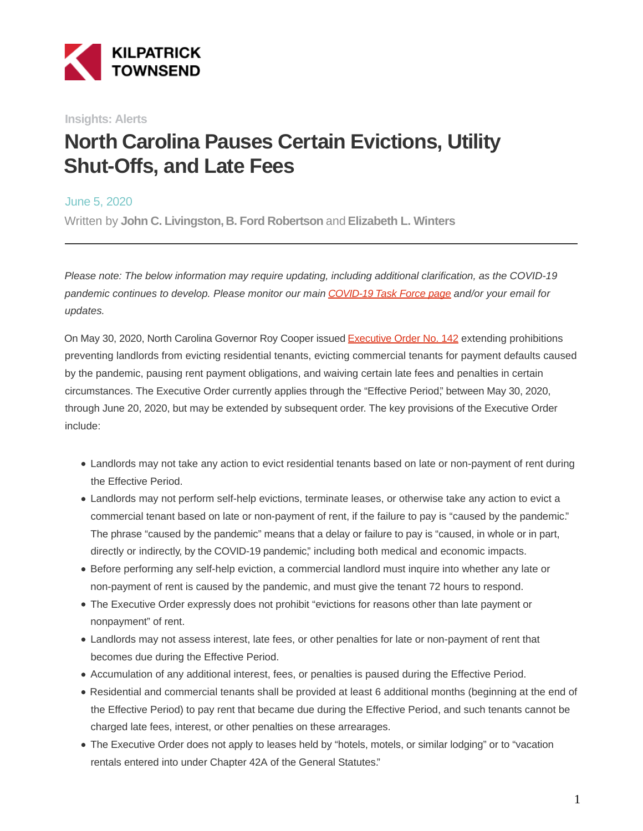

**Insights: Alerts**

# **North Carolina Pauses Certain Evictions, Utility Shut-Offs, and Late Fees**

June 5, 2020

Written by **John C. Livingston, B. Ford Robertson** and **Elizabeth L. Winters**

Please note: The below information may require updating, including additional clarification, as the COVID-19 pandemic continues to develop. Please monitor our main [COVID-19 Task Force page a](https://www.kilpatricktownsend.com/Insights/Alert/2020/3/Coronavirus-COVID-19-Task-Force)nd/or your email for updates.

On May 30, 2020, North Carolina Governor Roy Cooper issued [Executive Order No. 142](https://governor.nc.gov/documents/executive-order-no-142) extending prohibitions preventing landlords from evicting residential tenants, evicting commercial tenants for payment defaults caused by the pandemic, pausing rent payment obligations, and waiving certain late fees and penalties in certain circumstances. The Executive Order currently applies through the "Effective Period," between May 30, 2020, through June 20, 2020, but may be extended by subsequent order. The key provisions of the Executive Order include:

- Landlords may not take any action to evict residential tenants based on late or non-payment of rent during the Effective Period.
- Landlords may not perform self-help evictions, terminate leases, or otherwise take any action to evict a commercial tenant based on late or non-payment of rent, if the failure to pay is "caused by the pandemic." The phrase "caused by the pandemic" means that a delay or failure to pay is "caused, in whole or in part, directly or indirectly, by the COVID-19 pandemic," including both medical and economic impacts.
- Before performing any self-help eviction, a commercial landlord must inquire into whether any late or non-payment of rent is caused by the pandemic, and must give the tenant 72 hours to respond.
- The Executive Order expressly does not prohibit "evictions for reasons other than late payment or nonpayment" of rent.
- Landlords may not assess interest, late fees, or other penalties for late or non-payment of rent that becomes due during the Effective Period.
- Accumulation of any additional interest, fees, or penalties is paused during the Effective Period.
- Residential and commercial tenants shall be provided at least 6 additional months (beginning at the end of the Effective Period) to pay rent that became due during the Effective Period, and such tenants cannot be charged late fees, interest, or other penalties on these arrearages.
- The Executive Order does not apply to leases held by "hotels, motels, or similar lodging" or to "vacation rentals entered into under Chapter 42A of the General Statutes."